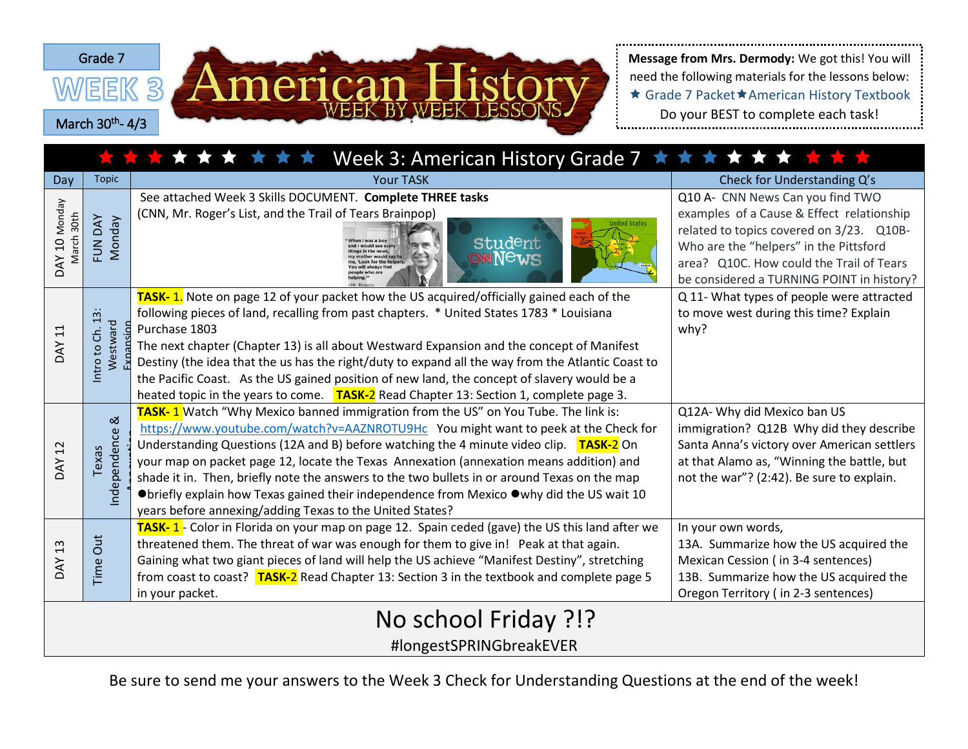



need the following materials for the lessons below: ★ Grade 7 Packet★American History Textbook Do your BEST to complete each task!

| Week 3: American History Grade 7 ★ ★ ★ ★ ★ ★ ★ ★ ★<br>******** |                                                                                                                  |                                                                                                                                                                                                                                                                                                                                                                                                                                                                                                                                                                                                                        |                                                                                                                                                                                                                                                              |  |  |  |
|----------------------------------------------------------------|------------------------------------------------------------------------------------------------------------------|------------------------------------------------------------------------------------------------------------------------------------------------------------------------------------------------------------------------------------------------------------------------------------------------------------------------------------------------------------------------------------------------------------------------------------------------------------------------------------------------------------------------------------------------------------------------------------------------------------------------|--------------------------------------------------------------------------------------------------------------------------------------------------------------------------------------------------------------------------------------------------------------|--|--|--|
| Day                                                            | <b>Topic</b>                                                                                                     | <b>Your TASK</b>                                                                                                                                                                                                                                                                                                                                                                                                                                                                                                                                                                                                       | Check for Understanding Q's                                                                                                                                                                                                                                  |  |  |  |
| DAY 10 Monday<br>March 30th                                    | FUN DAY<br><b>Monday</b>                                                                                         | See attached Week 3 Skills DOCUMENT. Complete THREE tasks<br>(CNN, Mr. Roger's List, and the Trail of Tears Brainpop)<br><b>Student</b><br>would see scars<br>ONNews                                                                                                                                                                                                                                                                                                                                                                                                                                                   | Q10 A- CNN News Can you find TWO<br>examples of a Cause & Effect relationship<br>related to topics covered on 3/23. Q10B-<br>Who are the "helpers" in the Pittsford<br>area? Q10C. How could the Trail of Tears<br>be considered a TURNING POINT in history? |  |  |  |
| <b>DAY 11</b>                                                  | $\sim$<br>$\overline{\phantom{0}}$<br>Westward<br>ag<br>$\dot{\epsilon}$<br>$\overline{c}$<br>Intro <sup>-</sup> | TASK-1. Note on page 12 of your packet how the US acquired/officially gained each of the<br>following pieces of land, recalling from past chapters. * United States 1783 * Louisiana<br>Purchase 1803<br>The next chapter (Chapter 13) is all about Westward Expansion and the concept of Manifest<br>Destiny (the idea that the us has the right/duty to expand all the way from the Atlantic Coast to<br>the Pacific Coast. As the US gained position of new land, the concept of slavery would be a<br>heated topic in the years to come. TASK-2 Read Chapter 13: Section 1, complete page 3.                       | Q 11- What types of people were attracted<br>to move west during this time? Explain<br>why?                                                                                                                                                                  |  |  |  |
| 12<br><b>DAY</b>                                               | ಹ<br>Independence<br>Texas                                                                                       | TASK-1 Watch "Why Mexico banned immigration from the US" on You Tube. The link is:<br>https://www.youtube.com/watch?v=AAZNROTU9Hc You might want to peek at the Check for<br>Understanding Questions (12A and B) before watching the 4 minute video clip. TASK-2 On<br>your map on packet page 12, locate the Texas Annexation (annexation means addition) and<br>shade it in. Then, briefly note the answers to the two bullets in or around Texas on the map<br>●briefly explain how Texas gained their independence from Mexico ●why did the US wait 10<br>years before annexing/adding Texas to the United States? | Q12A- Why did Mexico ban US<br>immigration? Q12B Why did they describe<br>Santa Anna's victory over American settlers<br>at that Alamo as, "Winning the battle, but<br>not the war"? (2:42). Be sure to explain.                                             |  |  |  |
| <b>DAY 13</b>                                                  | Time Out                                                                                                         | TASK-1- Color in Florida on your map on page 12. Spain ceded (gave) the US this land after we<br>threatened them. The threat of war was enough for them to give in! Peak at that again.<br>Gaining what two giant pieces of land will help the US achieve "Manifest Destiny", stretching<br>from coast to coast? <b>TASK-2</b> Read Chapter 13: Section 3 in the textbook and complete page 5<br>in your packet.                                                                                                                                                                                                       | In your own words,<br>13A. Summarize how the US acquired the<br>Mexican Cession (in 3-4 sentences)<br>13B. Summarize how the US acquired the<br>Oregon Territory (in 2-3 sentences)                                                                          |  |  |  |
| No school Friday ?!?                                           |                                                                                                                  |                                                                                                                                                                                                                                                                                                                                                                                                                                                                                                                                                                                                                        |                                                                                                                                                                                                                                                              |  |  |  |
| #longestSPRINGbreakEVER                                        |                                                                                                                  |                                                                                                                                                                                                                                                                                                                                                                                                                                                                                                                                                                                                                        |                                                                                                                                                                                                                                                              |  |  |  |

Be sure to send me your answers to the Week 3 Check for Understanding Questions at the end of the week!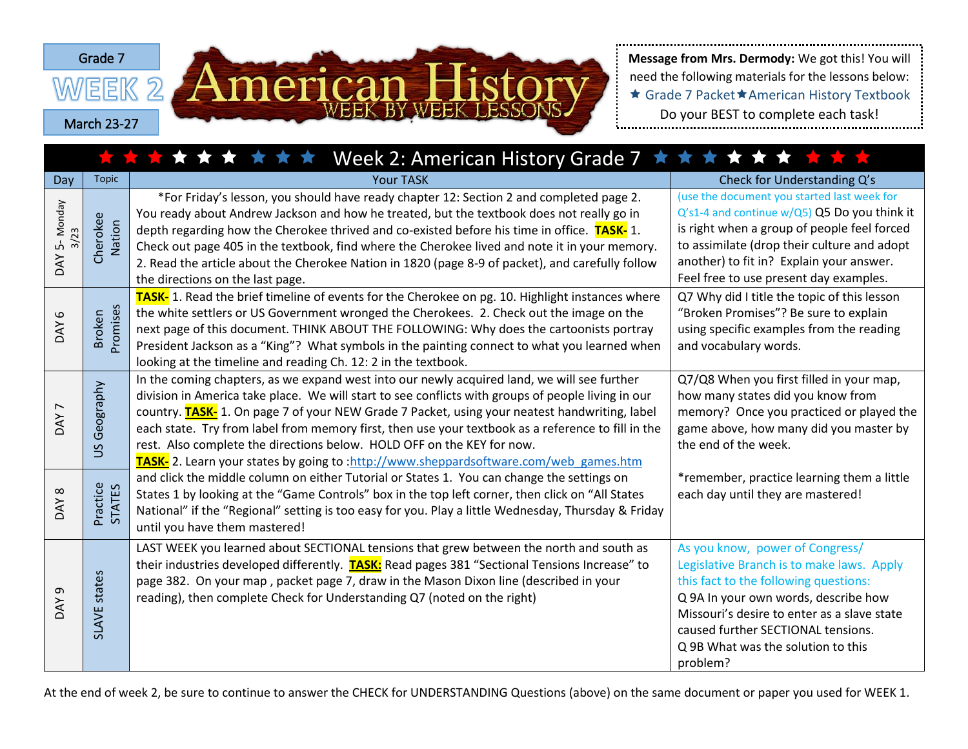

need the following materials for the lessons below: ★ Grade 7 Packet★American History Textbook Do your BEST to complete each task!

| ★ ★ ★ ★ ★ ★ ★ Week 2: American History Grade 7 ★ ★ ★ ★ ★ ★ ★ ★ ★ ★ |                           |                                                                                                                                                                                                                                                                                                                                                                                                                                                                                                                                                                                    |                                                                                                                                                                                                                                                                                                      |  |  |  |
|--------------------------------------------------------------------|---------------------------|------------------------------------------------------------------------------------------------------------------------------------------------------------------------------------------------------------------------------------------------------------------------------------------------------------------------------------------------------------------------------------------------------------------------------------------------------------------------------------------------------------------------------------------------------------------------------------|------------------------------------------------------------------------------------------------------------------------------------------------------------------------------------------------------------------------------------------------------------------------------------------------------|--|--|--|
| Day                                                                | <b>Topic</b>              | <b>Your TASK</b>                                                                                                                                                                                                                                                                                                                                                                                                                                                                                                                                                                   | Check for Understanding Q's                                                                                                                                                                                                                                                                          |  |  |  |
| 5-Monday<br>3/23<br>DAY                                            | Cherokee<br>Nation        | *For Friday's lesson, you should have ready chapter 12: Section 2 and completed page 2.<br>You ready about Andrew Jackson and how he treated, but the textbook does not really go in<br>depth regarding how the Cherokee thrived and co-existed before his time in office. TASK-1.<br>Check out page 405 in the textbook, find where the Cherokee lived and note it in your memory.<br>2. Read the article about the Cherokee Nation in 1820 (page 8-9 of packet), and carefully follow<br>the directions on the last page.                                                        | (use the document you started last week for<br>Q's1-4 and continue w/Q5) Q5 Do you think it<br>is right when a group of people feel forced<br>to assimilate (drop their culture and adopt<br>another) to fit in? Explain your answer.<br>Feel free to use present day examples.                      |  |  |  |
| $\mathbf \omega$<br><b>AY</b>                                      | Promises<br><b>Broken</b> | TASK- 1. Read the brief timeline of events for the Cherokee on pg. 10. Highlight instances where<br>the white settlers or US Government wronged the Cherokees. 2. Check out the image on the<br>next page of this document. THINK ABOUT THE FOLLOWING: Why does the cartoonists portray<br>President Jackson as a "King"? What symbols in the painting connect to what you learned when<br>looking at the timeline and reading Ch. 12: 2 in the textbook.                                                                                                                          | Q7 Why did I title the topic of this lesson<br>"Broken Promises"? Be sure to explain<br>using specific examples from the reading<br>and vocabulary words.                                                                                                                                            |  |  |  |
| $\overline{ }$<br><b>AY</b>                                        | Geography<br>SU           | In the coming chapters, as we expand west into our newly acquired land, we will see further<br>division in America take place. We will start to see conflicts with groups of people living in our<br>country. <b>TASK-</b> 1. On page 7 of your NEW Grade 7 Packet, using your neatest handwriting, label<br>each state. Try from label from memory first, then use your textbook as a reference to fill in the<br>rest. Also complete the directions below. HOLD OFF on the KEY for now.<br>TASK- 2. Learn your states by going to :http://www.sheppardsoftware.com/web games.htm | Q7/Q8 When you first filled in your map,<br>how many states did you know from<br>memory? Once you practiced or played the<br>game above, how many did you master by<br>the end of the week.                                                                                                          |  |  |  |
| $\infty$<br>DAY                                                    | Practice<br><b>STATES</b> | and click the middle column on either Tutorial or States 1. You can change the settings on<br>States 1 by looking at the "Game Controls" box in the top left corner, then click on "All States<br>National" if the "Regional" setting is too easy for you. Play a little Wednesday, Thursday & Friday<br>until you have them mastered!                                                                                                                                                                                                                                             | *remember, practice learning them a little<br>each day until they are mastered!                                                                                                                                                                                                                      |  |  |  |
| G<br><b>AY</b>                                                     | SLAVE states              | LAST WEEK you learned about SECTIONAL tensions that grew between the north and south as<br>their industries developed differently. <b>TASK:</b> Read pages 381 "Sectional Tensions Increase" to<br>page 382. On your map, packet page 7, draw in the Mason Dixon line (described in your<br>reading), then complete Check for Understanding Q7 (noted on the right)                                                                                                                                                                                                                | As you know, power of Congress/<br>Legislative Branch is to make laws. Apply<br>this fact to the following questions:<br>Q 9A In your own words, describe how<br>Missouri's desire to enter as a slave state<br>caused further SECTIONAL tensions.<br>Q 9B What was the solution to this<br>problem? |  |  |  |

At the end of week 2, be sure to continue to answer the CHECK for UNDERSTANDING Questions (above) on the same document or paper you used for WEEK 1.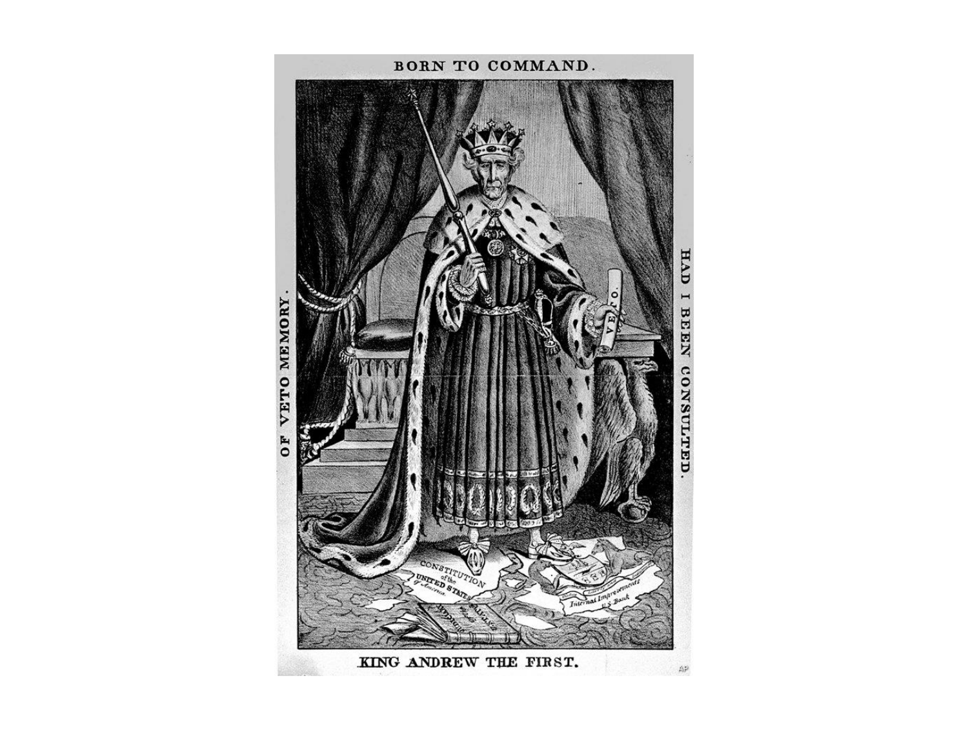